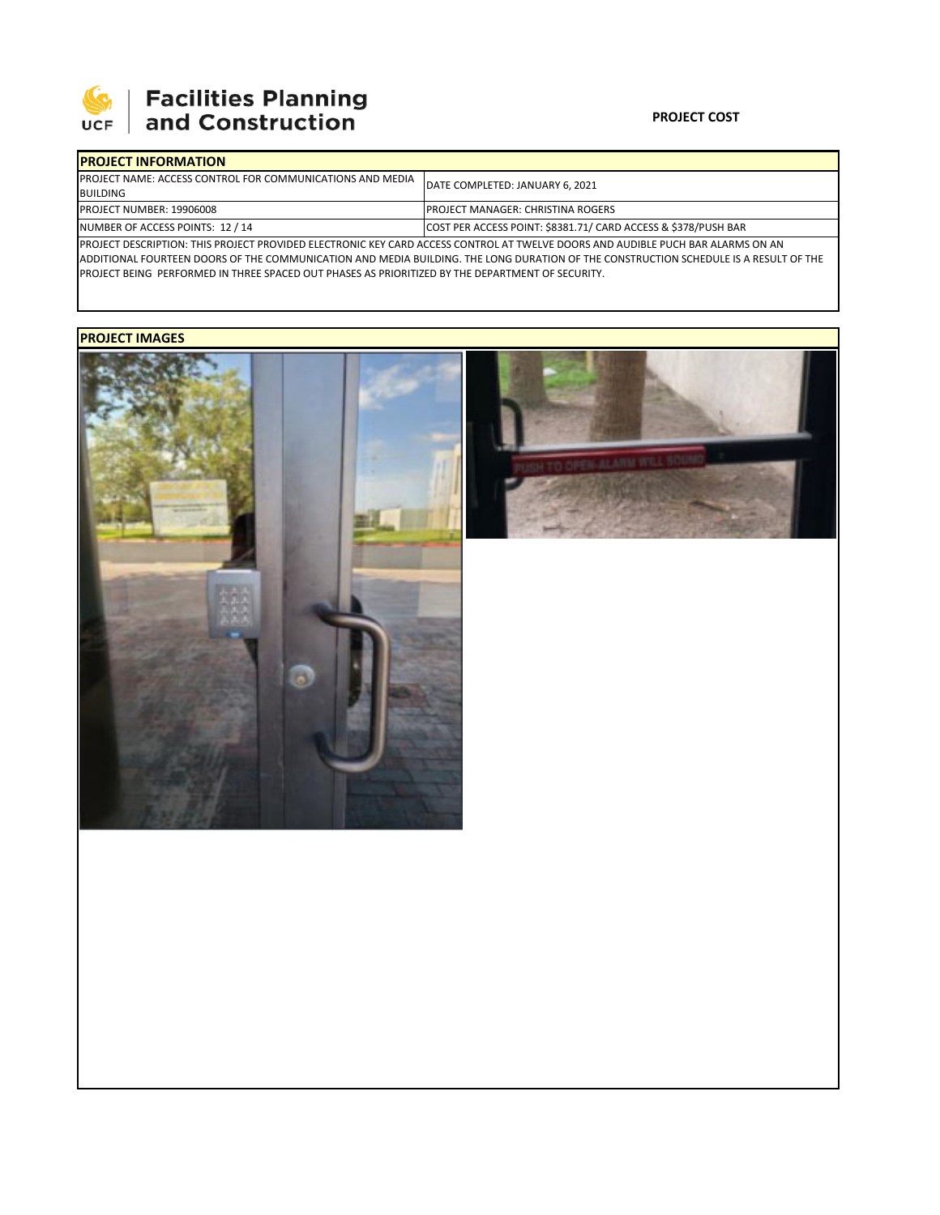

# **SEPTE AND Facilities Planning**<br>UCF and Construction

### **PROJECT COST**

| <b>IPROJECT INFORMATION</b>                                                                                                             |                                                                |  |  |  |
|-----------------------------------------------------------------------------------------------------------------------------------------|----------------------------------------------------------------|--|--|--|
| <b>IPROJECT NAME: ACCESS CONTROL FOR COMMUNICATIONS AND MEDIA</b>                                                                       | DATE COMPLETED: JANUARY 6, 2021                                |  |  |  |
| <b>BUILDING</b>                                                                                                                         |                                                                |  |  |  |
| <b>PROJECT NUMBER: 19906008</b>                                                                                                         | <b>IPROJECT MANAGER: CHRISTINA ROGERS</b>                      |  |  |  |
| NUMBER OF ACCESS POINTS: 12 / 14                                                                                                        | COST PER ACCESS POINT: \$8381.71/ CARD ACCESS & \$378/PUSH BAR |  |  |  |
| <b>IPROJECT DESCRIPTION: THIS PROJECT PROVIDED ELECTRONIC KEY CARD ACCESS CONTROL AT TWELVE DOORS AND AUDIBLE PUCH BAR ALARMS ON AN</b> |                                                                |  |  |  |

ADDITIONAL FOURTEEN DOORS OF THE COMMUNICATION AND MEDIA BUILDING. THE LONG DURATION OF THE CONSTRUCTION SCHEDULE IS A RESULT OF THE PROJECT BEING PERFORMED IN THREE SPACED OUT PHASES AS PRIORITIZED BY THE DEPARTMENT OF SECURITY.

## **PROJECT IMAGES**